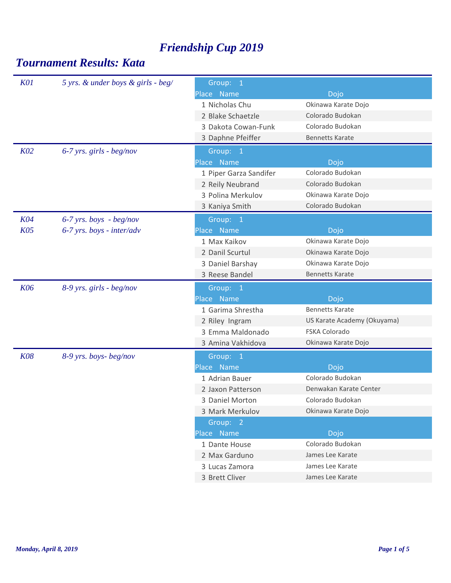| <b>K01</b> | 5 yrs. & under boys & girls - beg/ | Group: 1               |                             |
|------------|------------------------------------|------------------------|-----------------------------|
|            |                                    | Place Name             | Dojo                        |
|            |                                    | 1 Nicholas Chu         | Okinawa Karate Dojo         |
|            |                                    | 2 Blake Schaetzle      | Colorado Budokan            |
|            |                                    | 3 Dakota Cowan-Funk    | Colorado Budokan            |
|            |                                    | 3 Daphne Pfeiffer      | <b>Bennetts Karate</b>      |
| KO2        | $6-7$ yrs. girls - beg/nov         | Group: 1               |                             |
|            |                                    | Place Name             | Dojo                        |
|            |                                    | 1 Piper Garza Sandifer | Colorado Budokan            |
|            |                                    | 2 Reily Neubrand       | Colorado Budokan            |
|            |                                    | 3 Polina Merkulov      | Okinawa Karate Dojo         |
|            |                                    | 3 Kaniya Smith         | Colorado Budokan            |
| <b>K04</b> | $6-7$ yrs. boys - beg/nov          | Group: 1               |                             |
| <b>K05</b> | $6-7$ yrs. boys - inter/adv        | Place Name             | Dojo                        |
|            |                                    | 1 Max Kaikov           | Okinawa Karate Dojo         |
|            |                                    | 2 Danil Scurtul        | Okinawa Karate Dojo         |
|            |                                    | 3 Daniel Barshay       | Okinawa Karate Dojo         |
|            |                                    | 3 Reese Bandel         | <b>Bennetts Karate</b>      |
| <b>K06</b> | 8-9 yrs. girls - beg/nov           | Group: 1               |                             |
|            |                                    | Place Name             | Dojo                        |
|            |                                    | 1 Garima Shrestha      | <b>Bennetts Karate</b>      |
|            |                                    | 2 Riley Ingram         | US Karate Academy (Okuyama) |
|            |                                    | 3 Emma Maldonado       | FSKA Colorado               |
|            |                                    | 3 Amina Vakhidova      | Okinawa Karate Dojo         |
| <b>K08</b> | 8-9 yrs. boys-beg/nov              | Group: 1               |                             |
|            |                                    | Place Name             | Dojo                        |
|            |                                    | 1 Adrian Bauer         | Colorado Budokan            |
|            |                                    | 2 Jaxon Patterson      | Denwakan Karate Center      |
|            |                                    | 3 Daniel Morton        | Colorado Budokan            |
|            |                                    | 3 Mark Merkulov        | Okinawa Karate Dojo         |
|            |                                    | Group: 2               |                             |
|            |                                    | Place Name             | Dojo                        |
|            |                                    |                        |                             |
|            |                                    | 1 Dante House          | Colorado Budokan            |
|            |                                    | 2 Max Garduno          | James Lee Karate            |
|            |                                    | 3 Lucas Zamora         | James Lee Karate            |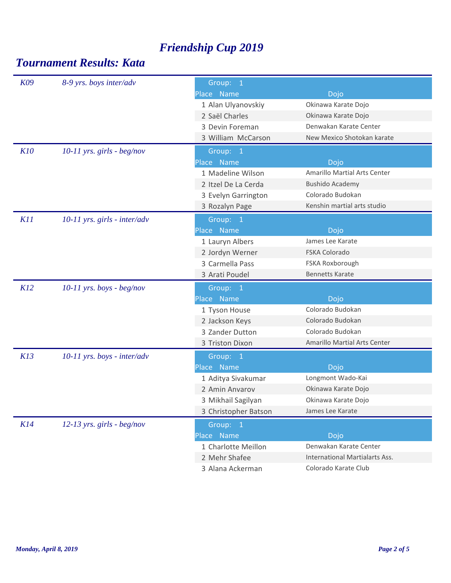| K09 | 8-9 yrs. boys inter/adv        | Group: 1             |                                       |
|-----|--------------------------------|----------------------|---------------------------------------|
|     |                                | Place Name           | Dojo                                  |
|     |                                | 1 Alan Ulyanovskiy   | Okinawa Karate Dojo                   |
|     |                                | 2 Saël Charles       | Okinawa Karate Dojo                   |
|     |                                | 3 Devin Foreman      | Denwakan Karate Center                |
|     |                                | 3 William McCarson   | New Mexico Shotokan karate            |
| K10 | $10-11$ yrs. girls - beg/nov   | Group: 1             |                                       |
|     |                                | Place Name           | Dojo                                  |
|     |                                | 1 Madeline Wilson    | <b>Amarillo Martial Arts Center</b>   |
|     |                                | 2 Itzel De La Cerda  | <b>Bushido Academy</b>                |
|     |                                | 3 Evelyn Garrington  | Colorado Budokan                      |
|     |                                | 3 Rozalyn Page       | Kenshin martial arts studio           |
| K11 | $10-11$ yrs. girls - inter/adv | Group: 1             |                                       |
|     |                                | Place Name           | Dojo                                  |
|     |                                | 1 Lauryn Albers      | James Lee Karate                      |
|     |                                | 2 Jordyn Werner      | FSKA Colorado                         |
|     |                                | 3 Carmella Pass      | FSKA Roxborough                       |
|     |                                | 3 Arati Poudel       | <b>Bennetts Karate</b>                |
| K12 | $10-11$ yrs. boys - beg/nov    | Group: 1             |                                       |
|     |                                | Place Name           | Dojo                                  |
|     |                                | 1 Tyson House        | Colorado Budokan                      |
|     |                                | 2 Jackson Keys       | Colorado Budokan                      |
|     |                                | 3 Zander Dutton      | Colorado Budokan                      |
|     |                                | 3 Triston Dixon      | Amarillo Martial Arts Center          |
| K13 | $10-11$ yrs. boys - inter/adv  | Group: 1             |                                       |
|     |                                | Place Name           | Dojo                                  |
|     |                                | 1 Aditya Sivakumar   | Longmont Wado-Kai                     |
|     |                                | 2 Amin Anvarov       | Okinawa Karate Dojo                   |
|     |                                | 3 Mikhail Sagilyan   | Okinawa Karate Dojo                   |
|     |                                | 3 Christopher Batson | James Lee Karate                      |
| K14 | 12-13 yrs. girls - beg/nov     | Group: 1             |                                       |
|     |                                | Place Name           | Dojo                                  |
|     |                                | 1 Charlotte Meillon  | Denwakan Karate Center                |
|     |                                | 2 Mehr Shafee        | <b>International Martialarts Ass.</b> |
|     |                                | 3 Alana Ackerman     | Colorado Karate Club                  |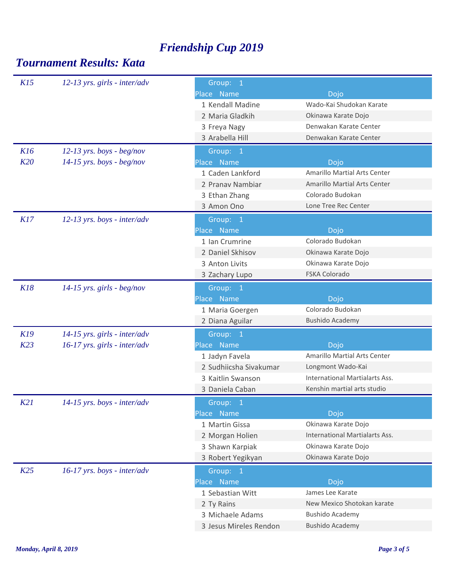| K15 | $12-13$ yrs. girls - inter/adv | Group: 1               |                                       |
|-----|--------------------------------|------------------------|---------------------------------------|
|     |                                | Place Name             | Dojo                                  |
|     |                                | 1 Kendall Madine       | Wado-Kai Shudokan Karate              |
|     |                                | 2 Maria Gladkih        | Okinawa Karate Dojo                   |
|     |                                | 3 Freya Nagy           | Denwakan Karate Center                |
|     |                                | 3 Arabella Hill        | Denwakan Karate Center                |
| K16 | $12-13$ yrs. boys - beg/nov    | Group: 1               |                                       |
| K20 | $14-15$ yrs. boys - beg/nov    | Place Name             | Dojo                                  |
|     |                                | 1 Caden Lankford       | Amarillo Martial Arts Center          |
|     |                                | 2 Pranav Nambiar       | <b>Amarillo Martial Arts Center</b>   |
|     |                                | 3 Ethan Zhang          | Colorado Budokan                      |
|     |                                | 3 Amon Ono             | Lone Tree Rec Center                  |
| K17 | $12-13$ yrs. boys - inter/adv  | Group: 1               |                                       |
|     |                                | Place Name             | Dojo                                  |
|     |                                | 1 Ian Crumrine         | Colorado Budokan                      |
|     |                                | 2 Daniel Skhisov       | Okinawa Karate Dojo                   |
|     |                                | 3 Anton Livits         | Okinawa Karate Dojo                   |
|     |                                | 3 Zachary Lupo         | <b>FSKA Colorado</b>                  |
| K18 | $14-15$ yrs. girls - beg/nov   | Group: 1               |                                       |
|     |                                | Place Name             | Dojo                                  |
|     |                                | 1 Maria Goergen        | Colorado Budokan                      |
|     |                                | 2 Diana Aguilar        | <b>Bushido Academy</b>                |
| K19 | $14-15$ yrs. girls - inter/adv | Group: 1               |                                       |
| K23 | $16-17$ yrs. girls - inter/adv | Place Name             | Dojo                                  |
|     |                                | 1 Jadyn Favela         | Amarillo Martial Arts Center          |
|     |                                | 2 Sudhiicsha Sivakumar | Longmont Wado-Kai                     |
|     |                                | 3 Kaitlin Swanson      | <b>International Martialarts Ass.</b> |
|     |                                | 3 Daniela Caban        | Kenshin martial arts studio           |
| K21 | $14-15$ yrs. boys - inter/adv  | Group: 1               |                                       |
|     |                                | Place Name             | Dojo                                  |
|     |                                | 1 Martin Gissa         | Okinawa Karate Dojo                   |
|     |                                | 2 Morgan Holien        | International Martialarts Ass.        |
|     |                                | 3 Shawn Karpiak        | Okinawa Karate Dojo                   |
|     |                                | 3 Robert Yegikyan      | Okinawa Karate Dojo                   |
| K25 | $16-17$ yrs. boys - inter/adv  | Group: 1               |                                       |
|     |                                | Place Name             | Dojo                                  |
|     |                                | 1 Sebastian Witt       | James Lee Karate                      |
|     |                                | 2 Ty Rains             | New Mexico Shotokan karate            |
|     |                                | 3 Michaele Adams       | <b>Bushido Academy</b>                |
|     |                                | 3 Jesus Mireles Rendon | <b>Bushido Academy</b>                |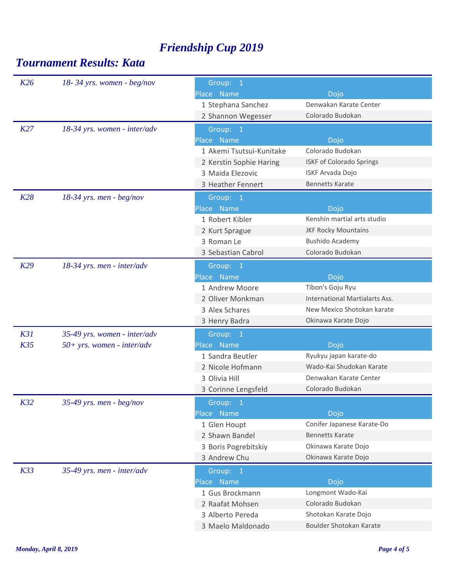| K26 | $18 - 34$ yrs. women - beg/nov | Group: 1                 |                                |
|-----|--------------------------------|--------------------------|--------------------------------|
|     |                                | Place Name               | Dojo                           |
|     |                                | 1 Stephana Sanchez       | Denwakan Karate Center         |
|     |                                | 2 Shannon Wegesser       | Colorado Budokan               |
| K27 | 18-34 yrs. women - inter/adv   | Group: 1                 |                                |
|     |                                | Place Name               | Dojo                           |
|     |                                | 1 Akemi Tsutsui-Kunitake | Colorado Budokan               |
|     |                                | 2 Kerstin Sophie Haring  | ISKF of Colorado Springs       |
|     |                                | 3 Maida Elezovic         | <b>ISKF Arvada Dojo</b>        |
|     |                                | 3 Heather Fennert        | <b>Bennetts Karate</b>         |
| K28 | $18-34$ yrs. men - beg/nov     | Group: 1                 |                                |
|     |                                | Place Name               | Dojo                           |
|     |                                | 1 Robert Kibler          | Kenshin martial arts studio    |
|     |                                | 2 Kurt Sprague           | <b>JKF Rocky Mountains</b>     |
|     |                                | 3 Roman Le               | <b>Bushido Academy</b>         |
|     |                                | 3 Sebastian Cabrol       | Colorado Budokan               |
| K29 | 18-34 yrs. men - inter/adv     | Group: 1                 |                                |
|     |                                | Place Name               | Dojo                           |
|     |                                | 1 Andrew Moore           | Tibon's Goju Ryu               |
|     |                                | 2 Oliver Monkman         | International Martialarts Ass. |
|     |                                | 3 Alex Schares           | New Mexico Shotokan karate     |
|     |                                | 3 Henry Badra            | Okinawa Karate Dojo            |
| K31 | 35-49 yrs. women - inter/adv   | Group: 1                 |                                |
| K35 | $50+ yrs.$ women - inter/adv   | Place Name               | Dojo                           |
|     |                                | 1 Sandra Beutler         | Ryukyu japan karate-do         |
|     |                                | 2 Nicole Hofmann         | Wado-Kai Shudokan Karate       |
|     |                                | 3 Olivia Hill            | Denwakan Karate Center         |
|     |                                | 3 Corinne Lengsfeld      | Colorado Budokan               |
| K32 | 35-49 yrs. men - $beg/nov$     | Group: 1                 |                                |
|     |                                | Place Name               | Dojo                           |
|     |                                | 1 Glen Houpt             | Conifer Japanese Karate-Do     |
|     |                                | 2 Shawn Bandel           | <b>Bennetts Karate</b>         |
|     |                                | 3 Boris Pogrebitskiy     | Okinawa Karate Dojo            |
|     |                                | 3 Andrew Chu             | Okinawa Karate Dojo            |
| K33 | 35-49 yrs. men - inter/adv     | Group: 1                 |                                |
|     |                                | Place Name               | Dojo                           |
|     |                                | 1 Gus Brockmann          | Longmont Wado-Kai              |
|     |                                | 2 Raafat Mohsen          | Colorado Budokan               |
|     |                                | 3 Alberto Pereda         | Shotokan Karate Dojo           |
|     |                                | 3 Maelo Maldonado        | Boulder Shotokan Karate        |